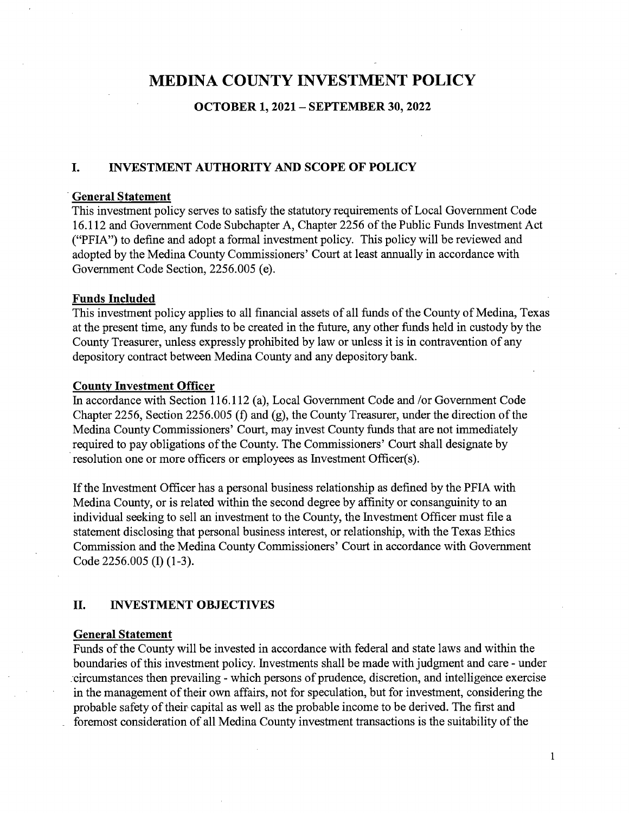# **MEDINA COUNTY INVESTMENT POLICY**

# **OCTOBER 1, 2021 - SEPTEMBER 30, 2022**

### **I. INVESTMENT AUTHORITY AND SCOPE OF POLICY**

#### -**General Statement**

This investment policy serves to satisfy the statutory requirements of Local Government Code 16.112 and Government Code Subchapter A, Chapter 2256 of the Public Funds Investment Act ("PFIA") to define and adopt a formal investment policy. This policy will be reviewed and adopted by the Medina County Commissioners' Court at least annually in accordance with Government Code Section, 2256.005 (e).

#### **Funds Included**

This investment policy applies to all financial assets of all funds of the County of Medina, Texas at the present time, any funds to be created in the future, any other funds held in custody by the County Treasurer, unless expressly prohibited by law or unless it is in contravention of any depository contract between Medina County and any depository bank.

#### **County Investment Officer**

In accordance with Section 116.112 (a), Local Government Code and /or Government Code Chapter 2256, Section 2256.005 (f) and (g), the County Treasurer, under the direction of the Medina County Commissioners' Court, may invest County funds that are not immediately required to pay obligations of the County. The Commissioners' Court shall designate by resolution one or more officers or employees as Investment Officer(s).

If the Investment Officer has a personal business relationship as defined by the PFIA with Medina County, or is related within the second degree by affinity or consanguinity to an individual seeking to sell an investment to the County, the Investment Officer must file a statement disclosing that personal business interest, or relationship, with the Texas Ethics Commission and the Medina County Commissioners' Court in accordance with Government Code 2256.005 (I) (1-3).

# **II. INVESTMENT OBJECTIVES**

#### **General Statement**

Funds of the County will be invested in accordance with federal and state laws and within the boundaries of this investment policy. Investments shall be made with judgment and care - under .-circumstances then prevailing - which persons of prudence, discretion, and intelligence exercise in the management of their own affairs, not for speculation, but for investment, considering the probable safety of their capital as well as the probable income to be derived. The first and foremost consideration of all Medina County investment transactions is the suitability of the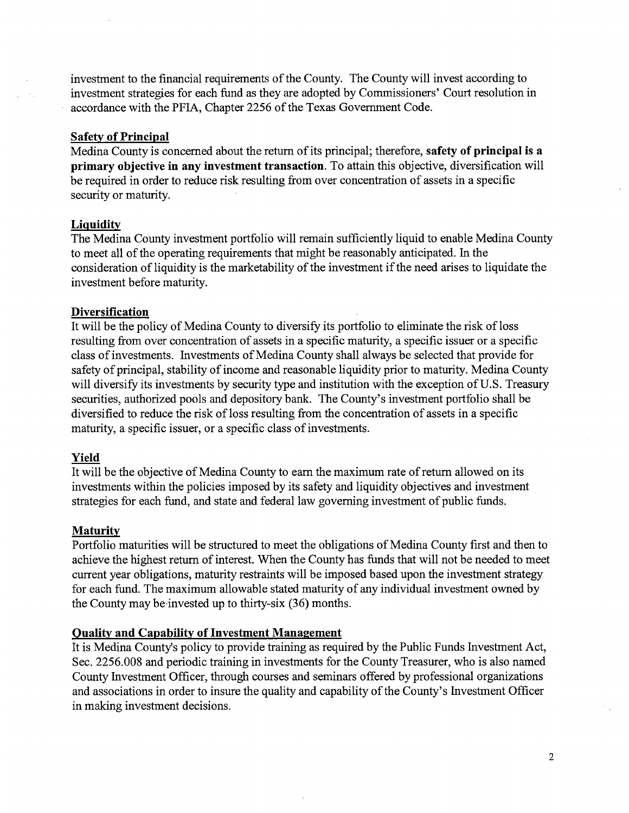investment to the financial requirements of the County. The County will invest according to investment strategies for each fund as they are adopted by Commissioners' Court resolution in accordance with the PFIA, Chapter 2256 of the Texas Government Code.

### **Safety of Principal**

Medina County is concerned about the return of its principal; therefore, **safety of principal is a primary objective in any investment transaction.** To attain this objective, diversification will be required in order to reduce risk resulting from over concentration of assets in a specific security or maturity.

#### **Liquidity**

The Medina County investment portfolio will remain sufficiently liquid to enable Medina County to meet all of the operating requirements that might be reasonably anticipated. In the consideration of liquidity is the marketability of the investment if the need arises to liquidate the investment before maturity.

#### **Diversification**

It will be the policy of Medina County to diversify its portfolio to eliminate the risk of loss resulting from over concentration of assets in a specific maturity, a specific issuer or a specific class of investments. Investments of Medina County shall always be selected that provide for safety of principal, stability of income and reasonable liquidity prior to maturity. Medina County will diversify its investments by security type and institution with the exception of U.S. Treasury securities, authorized pools and depository bank. The County's investment portfolio shall be diversified to reduce the risk of loss resulting from the concentration of assets in a specific maturity, a specific issuer, or a specific class of investments.

# **Yield**

It will be the objective of Medina County to earn the maximum rate of return allowed on its investments within the policies imposed by its safety and liquidity objectives and investment strategies for each fund, and state and federal law governing investment of public funds.

# **Maturity**

Portfolio maturities will be structured to meet the obligations of Medina County first and then to achieve the highest return of interest. When the County has funds that will not be needed to meet current year obligations, maturity restraints will be imposed based upon the investment strategy for each fund. The maximum allowable stated maturity of any individual investment owned by the County may be·invested up to thirty-six (36) months.

# **Quality and Capability of Investment Management**

It is Medina County's policy to provide training as required by the Public Funds Investment Act, Sec. 2256.008 and periodic training in investments for the County Treasurer, who is also named County Investment Officer, through courses and seminars offered by professional organizations and associations in order to insure the quality and capability of the County's Investment Officer in making investment decisions.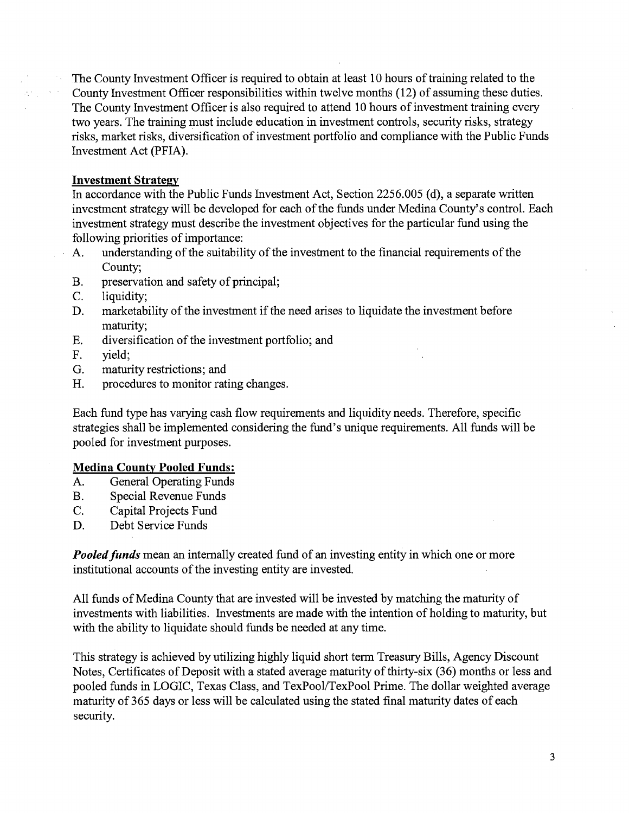The County Investment Officer is required to obtain at least 10 hours of training related to the County Investment Officer responsibilities within twelve months (12) of assuming these duties. The County Investment Officer is also required to attend 10 hours of investment training every two years. The training must include education in investment controls, security risks, strategy risks, market risks, diversification of investment portfolio and compliance with the Public Funds Investment Act (PFIA).

# **Investment Strategy**

In accordance with the Public Funds Investment Act, Section 2256.005 (d), a separate written investment strategy will be developed for each of the funds under Medina County's control. Each investment strategy must describe the investment objectives for the particular fund using the following priorities of importance:

- A. understanding of the suitability of the investment to the financial requirements of the County;
- B. preservation and safety of principal;
- C. liquidity;
- D. marketability of the investment if the need arises to liquidate the investment before maturity;
- E. diversification of the investment portfolio; and
- F. yield;
- G. maturity restrictions; and
- H. procedures to monitor rating changes.

Each fund type has varying cash flow requirements and liquidity needs. Therefore, specific strategies shall be implemented considering the fund's unique requirements. All funds will be pooled for investment purposes.

# **Medina County Pooled Funds:**

- A. General Operating Funds
- B. Special Revenue Funds
- C. Capital Projects Fund
- D. Debt Service Funds

*Pooled funds* mean an internally created fund of an investing entity in which one or more institutional accounts of the investing entity are invested.

All funds of Medina County that are invested will be invested by matching the maturity of investments with liabilities. Investments are made with the intention of holding to maturity, but with the ability to liquidate should funds be needed at any time.

This strategy is achieved by utilizing highly liquid short term Treasury Bills, Agency Discount Notes, Certificates of Deposit with a stated average maturity of thirty-six (36) months or less and pooled funds in LOGIC, Texas Class, and TexPool/TexPool Prime. The dollar weighted average maturity of 365 days or less will be calculated using the stated final maturity dates of each security.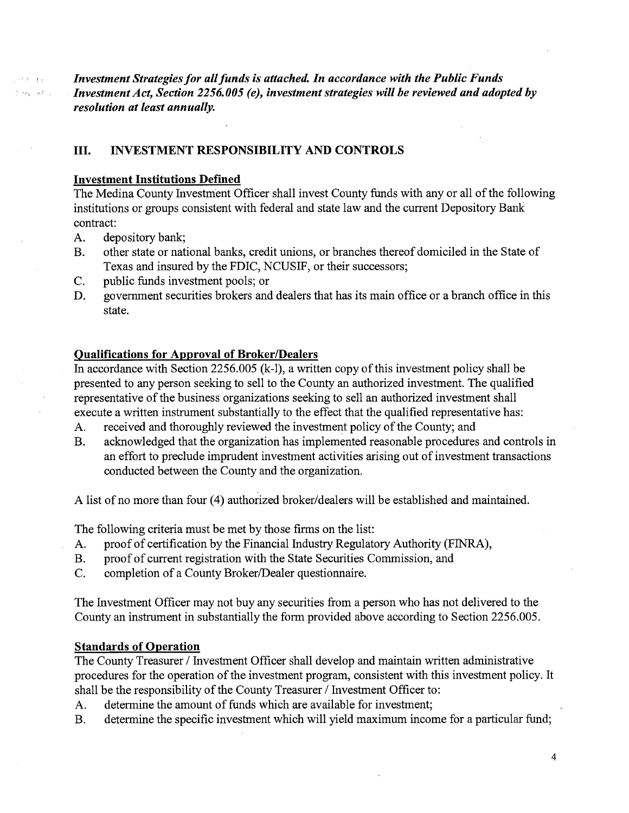*Investment Strategies for all funds is attached. In accordance with the Public Funds Investment Act, Section 2256.005 (e), investment strategies will be reviewed and adopted by resolution at least annually.* 

# III. **INVESTMENT RESPONSIBILITY AND CONTROLS**

#### **Investment Institutions Defined**

The Medina County Investment Officer shall invest County funds with any or all of the following institutions or groups consistent with federal and state law and the current Depository Bank contract:

A. depository bank;

 $1 + 6 + 14$ المستعفر المعارفة

- B. other state or national banks, credit unions, or branches thereof domiciled in the State of Texas and insured by the FDIC, NCUSIF, or their successors;
- C. public funds investment pools; or
- D. government securities brokers and dealers that has its main office or a branch office in this state.

#### **Qualifications for Approval of Broker/Dealers**

In accordance with Section 2256.005 (k-1), a written copy of this investment policy shall be presented to any person seeking to sell to the County an authorized investment. The qualified representative of the business organizations seeking to sell an authorized investment shall execute a written instrument substantially to the effect that the qualified representative has:

- A. received and thoroughly reviewed the investment policy of the County; and
- B. acknowledged that the organization has implemented reasonable procedures and controls in an effort to preclude imprudent investment activities arising out of investment transactions conducted between the County and the organization.

A list of no more than four (4) authorized broker/dealers will be established and maintained.

The following criteria must be met by those firms on the list:

- A. proof of certification by the Financial Industry Regulatory Authority (FINRA),
- B. proof of current registration with the State Securities Commission, and
- C. completion of a County Broker/Dealer questionnaire.

The Investment Officer may not buy any securities from a person who has not delivered to the County an instrument in substantially the form provided above according to Section 2256.005.

#### **Standards of Operation**

The County Treasurer/ Investment Officer shall develop and maintain written administrative procedures for the operation of the investment program, consistent with this investment policy. It shall be the responsibility of the County Treasurer / Investment Officer to:

- A. determine the amount of funds which are available for investment;
- B. determine the specific investment which will yield maximum income for a particular fund;

4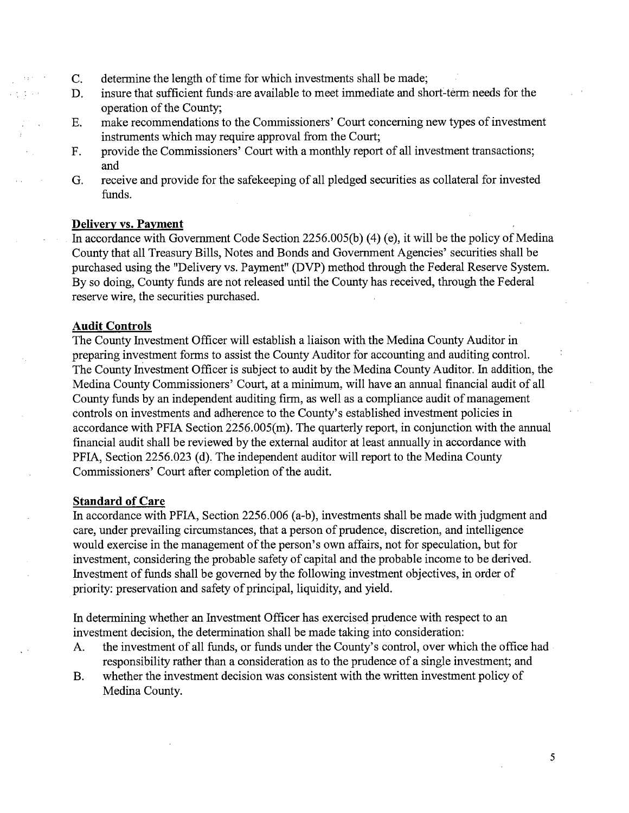- C. determine the length of time for which investments shall be made;
- D. insure that sufficient funds are available to meet immediate and shorf-term needs for the operation of the County;
- E. make recommendations to the Commissioners' Court concerning new types of investment instruments which may require approval from the Court;
- F. provide the Commissioners' Court with a monthly report of all investment transactions; and
- G. receive and provide for the safekeeping of all pledged securities as collateral for invested funds.

#### **Delivery vs. Payment**

In accordance with Government Code Section 2256.005(b) (4) (e), it will be the policy of Medina County that all Treasury Bills, Notes and Bonds and Government Agencies' securities shall be purchased using the "Delivery vs. Payment" (DVP) method through the Federal Reserve System. By so doing, County funds are not released until the County has received, through the Federal reserve wire, the securities purchased.

#### **Audit Controls**

The County Investment Officer will establish a liaison with the Medina County Auditor in preparing investment forms to assist the County Auditor for accounting and auditing control. The County Investment Officer is subject to audit by the Medina County Auditor. In addition, the Medina County Commissioners' Court, at a minimum, will have an annual financial audit of all County funds by an independent auditing firm, as well as a compliance audit of management controls on investments and adherence to the County's established investment policies in accordance with PFIA Section 2256.005(m). The quarterly report, in conjunction with the annual financial audit shall be reviewed by the external auditor at least annually in accordance with PFIA, Section 2256.023 (d). The independent auditor will report to the Medina County Commissioners' Court after completion of the audit.

#### **Standard of Care**

In accordance with PFIA, Section 2256.006 (a-b), investments shall be made with judgment and care, under prevailing circumstances, that a person of prudence, discretion, and intelligence would exercise in the management of the person's own affairs, not for speculation, but for investment, considering the probable safety of capital and the probable income to be derived. Investment of funds shall be governed by the following investment objectives, in order of priority: preservation and safety of principal, liquidity, and yield.

In determining whether an Investment Officer has exercised prudence with respect to an investment decision, the determination shall be made taking into consideration:

- A. the investment of all funds, or funds under the County's control, over which the office had responsibility rather than a consideration as to the prudence of a single investment; and
- B. whether the investment decision was consistent with the written investment policy of Medina County.

5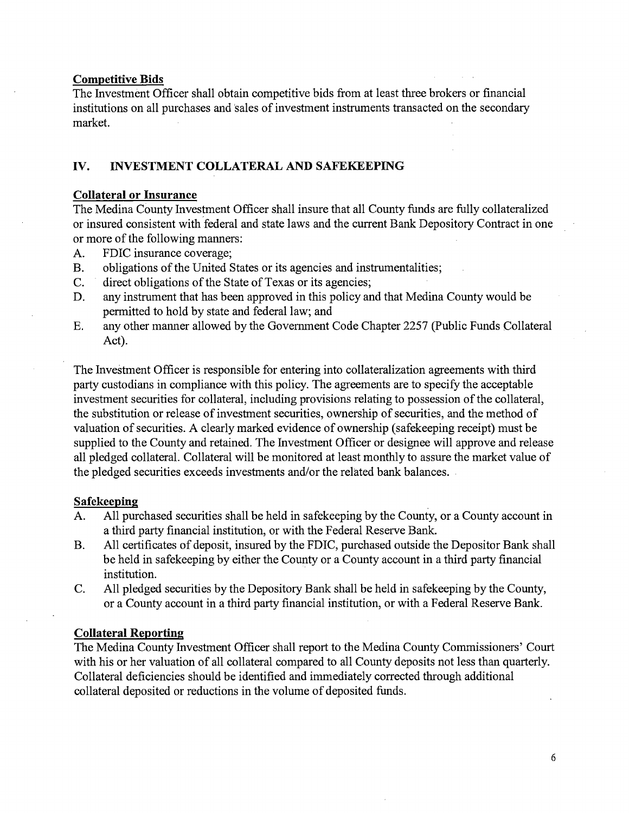#### **Competitive Bids**

The Investment Officer shall obtain competitive bids from at least three brokers or financial institutions on all purchases and 'sales of investment instruments transacted on the secondary market.

# **IV. INVESTMENT COLLATERAL AND SAFEKEEPING**

#### **Collateral or Insurance**

The Medina County Investment Officer shall insure that all County funds are fully collateralized or insured consistent with federal and state laws and the current Bank Depository Contract in one or more of the following manners:

- A. FDIC insurance coverage;
- B. obligations of the United States or its agencies and instrumentalities;
- C. direct obligations of the State of Texas or its agencies;
- D. any instrument that has been approved in this policy and that Medina County would be permitted to hold by state and federal law; and
- E. any other manner allowed by the Government Code Chapter 2257 (Public Funds Collateral Act).

The Investment Officer is responsible for entering into collateralization agreements with third party custodians in compliance with this policy. The agreements are to specify the acceptable investment securities for collateral, including provisions relating to possession of the collateral, the substitution or release of investment securities, ownership of securities, and the method of valuation of securities. A clearly marked evidence of ownership (safekeeping receipt) must be supplied to the County and retained. The Investment Officer or designee will approve and release all pledged collateral. Collateral will be monitored at least monthly to assure the market value of the pledged securities exceeds investments and/or the related bank balances.

#### **Safekeeping**

- A. All purchased securities shall be held in safekeeping by the County, or a County account in a third party financial institution, or with the Federal Reserve Bank.
- B. All certificates of deposit, insured by the FDIC, purchased outside the Depositor Bank shall be held in safekeeping by either the County or a County account in a third party financial institution.
- C. All pledged securities by the Depository Bank shall be held in safekeeping by the County, or a County account in a third party financial institution, or with a Federal Reserve Bank.

# **Collateral Reporting**

The Medina County Investment Officer shall report to the Medina County Commissioners' Court with his or her valuation of all collateral compared to all County deposits not less than quarterly. Collateral deficiencies should be identified and immediately corrected through additional collateral deposited or reductions in the volume of deposited funds.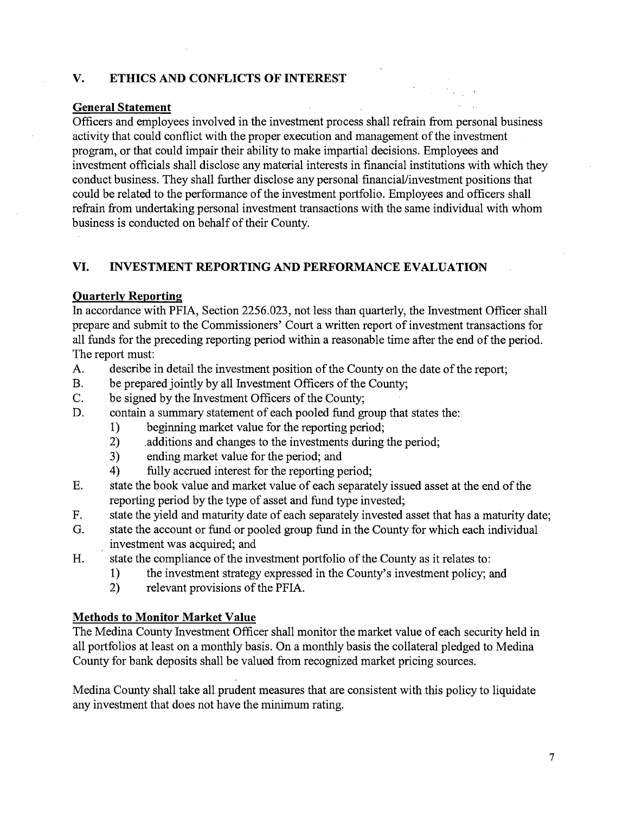# **V. ETHICS AND CONFLICTS OF INTEREST**

# **General Statement**

Officers and employees involved in the investment process shall refrain from personal business activity that could conflict with the proper execution and management of the investment program, or that could impair their ability to make impartial decisions. Employees and investment officials shall disclose any material interests in financial institutions with which they conduct business. They shall further disclose any personal financial/investment positions that could be related to the performance of the investment portfolio. Employees and officers shall refrain from undertaking personal investment transactions with the same individual with whom business is conducted on behalf of their County.

# **VI. INVESTMENT REPORTING AND PERFORMANCE EVALUATION**

# **Quarterly Reporting**

In accordance with PFIA, Section 2256.023, not less than quarterly, the Investment Officer shall prepare and submit to the Commissioners' Court a written report of investment transactions for all funds for the preceding reporting period within a reasonable time after the end of the period. The report must:

- A. describe in detail the investment position of the County on the date of the report;
- B. be prepared jointly by all Investment Officers of the County;
- C. be signed by the Investment Officers of the County;
- D. contain a summary statement of each pooled fund group that states the:
	- 1) beginning market value for the reporting period;
	- 2) additions and changes to the investments during the period;
	- 3) ending market value for the period; and
	- 4) fully accrued interest for the reporting period;
- E. state the book value and market value of each separately issued asset at the end of the reporting period by the type of asset and fund type invested;
- F. state the yield and maturity date of each separately invested asset that has a maturity date;
- G. state the account or fund or pooled group fund in the County for which each individual investment was acquired; and
- H. state the compliance of the investment portfolio of the County as it relates to:
	- 1) the investment strategy expressed in the County's investment policy; and
	- 2) relevant provisions of the PFIA.

# **Methods to Monitor Market Value**

The Medina County Investment Officer shall monitor the market value of each security held in all portfolios at least on a monthly basis. On a monthly basis the collateral pledged to Medina County for bank deposits shall be valued from recognized market pricing sources.

Medina County shall take all prudent measures that are consistent with this policy to liquidate any investment that does not have the minimum rating.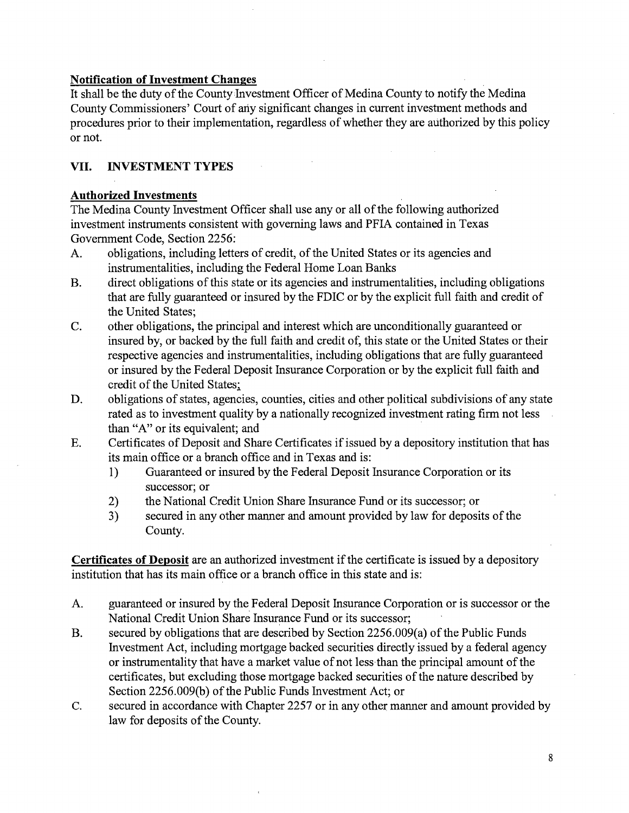# **Notification of Investment Changes**

It shall be the duty of the County Investment Officer of Medina County to notify the Medina County Commissioners' Court of ariy significant changes in current investment methods and procedures prior to their implementation, regardless of whether they are authorized by this policy or not.

# **VII. INVESTMENT TYPES**

# **Authorized Investments**

The Medina County Investment Officer shall use any or all of the following authorized investment instruments consistent with governing laws and PFIA contained in Texas Government Code, Section 2256:

- A. obligations, including letters of credit, of the United States or its agencies and instrumentalities, including the Federal Home Loan Banks
- B. direct obligations of this state or its agencies and instrumentalities, including obligations that are fully guaranteed or insured by the FDIC or by the explicit full faith and credit of the United States;
- C. other obligations, the principal and interest which are unconditionally guaranteed or insured by, or backed by the full faith and credit of, this state or the United States or their respective agencies and instrumentalities, including obligations that are fully guaranteed or insured by the Federal Deposit Insurance Corporation or by the explicit full faith and credit of the United States;
- D. obligations of states, agencies, counties, cities and other political subdivisions of any state rated as to investment quality by a nationally recognized investment rating firm not less than "A" or its equivalent; and
- E. Certificates of Deposit and Share Certificates if issued by a depository institution that has its main office or a branch office and in Texas and is:
	- 1) Guaranteed or insured by the Federal Deposit Insurance Corporation or its successor; or
	- 2) the National Credit Union Share Insurance Fund or its successor; or
	- 3) secured in any other manner and amount provided by law for deposits of the County.

**Certificates of Deposit** are an authorized investment if the certificate is issued by a depository institution that has its main office or a branch office in this state and is:

- A. guaranteed or insured by the Federal Deposit Insurance Corporation or is successor or the National Credit Union Share Insurance Fund or its successor;
- B. secured by obligations that are described by Section 2256.009(a) of the Public Funds Investment Act, including mortgage backed securities directly issued by a federal agency or instrumentality that have a market value of not less than the principal amount of the certificates, but excluding those mortgage backed securities of the nature described by Section 2256.009(b) of the Public Funds Investment Act; or
- C. secured in accordance with Chapter 2257 or in any other manner and amount provided by law for deposits of the County.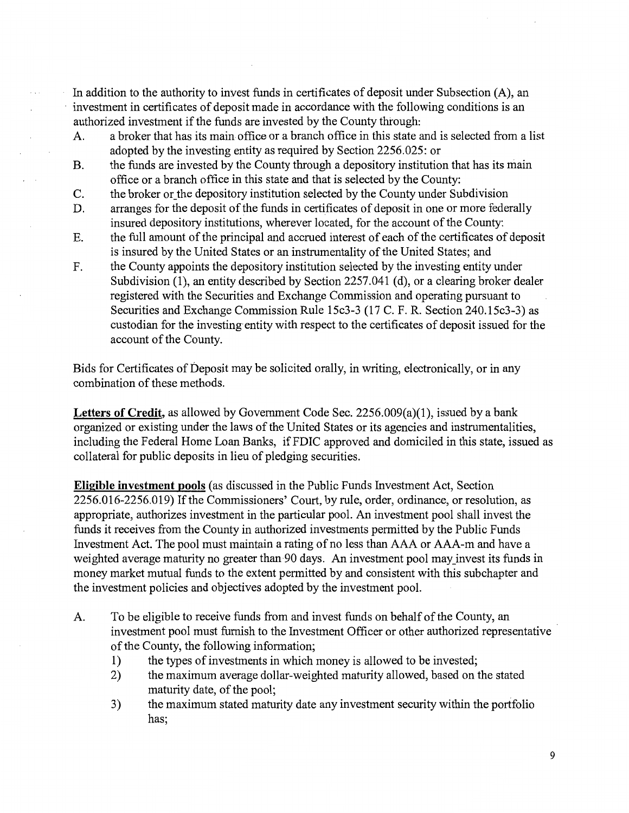In addition to the authority to invest funds in certificates of deposit under Subsection (A), an investment in certificates of deposit made in accordance with the following conditions is an authorized investment if the funds are invested by the County through:

 $\ddot{\phantom{a}}$ 

- A. a broker that has its main office or a branch office in this state and is selected from a list adopted by the investing entity as required by Section 2256.025: or
- B. the funds are invested by the County through a depository institution that has its main office or a branch office in this state and that is selected by the County:
- C. the broker or\_the depository institution selected by the County under Subdivision
- D. arranges for the deposit of the funds in certificates of deposit in one or more federally insured depository institutions, wherever located, for the account of the County:
- E. the full amount of the principal and accrued interest of each of the certificates of deposit is insured by the United States or an instrumentality of the United States; and
- F. the County appoints the depository institution selected by the investing entity under Subdivision (1), an entity described by Section 2257.041 (d), or a clearing broker dealer registered with the Securities and Exchange Commission and operating pursuant to Securities and Exchange Commission Rule 15c3-3 (17 C. F. R. Section 240.15c3-3) as custodian for the investing entity with respect to the certificates of deposit issued for the account of the County.

Bids for Certificates of Deposit may be solicited orally, in writing, electronically, or in any combination of these methods.

Letters of Credit, as allowed by Government Code Sec. 2256.009(a)(1), issued by a bank organized or existing under the laws of the United States or its agencies and instrumentalities, including the Federal Home Loan Banks, if FDIC approved and domiciled in this state, issued as collateral for public deposits in lieu of pledging securities.

**Eligible investment pools** (as discussed in the Public Funds Investment Act, Section 2256.016-2256.019) Ifthe Commissioners' Court, by rule, order, ordinance, or resolution, as appropriate, authorizes investment in the particular pool. An investment pool shall invest the funds it receives from the County in authorized investments permitted by the Public Funds Investment Act. The pool must maintain a rating of no less than AAA or AAA-m and have a weighted average maturity no greater than 90 days. An investment pool may\_invest its funds in money market mutual funds to the extent permitted by and consistent with this subchapter and the investment policies and objectives adopted by the investment pool.

- A. To be eligible to receive funds from and invest funds on behalf of the County, an investment pool must furnish to the Investment Officer or other authorized representative of the County, the following information;
	- 1) the types of investments in which money is allowed to be invested;
	- 2) the maximum average dollar-weighted maturity allowed, based on the stated maturity date, of the pool;
	- 3) the maximum stated maturity date any investment security within the portfolio has;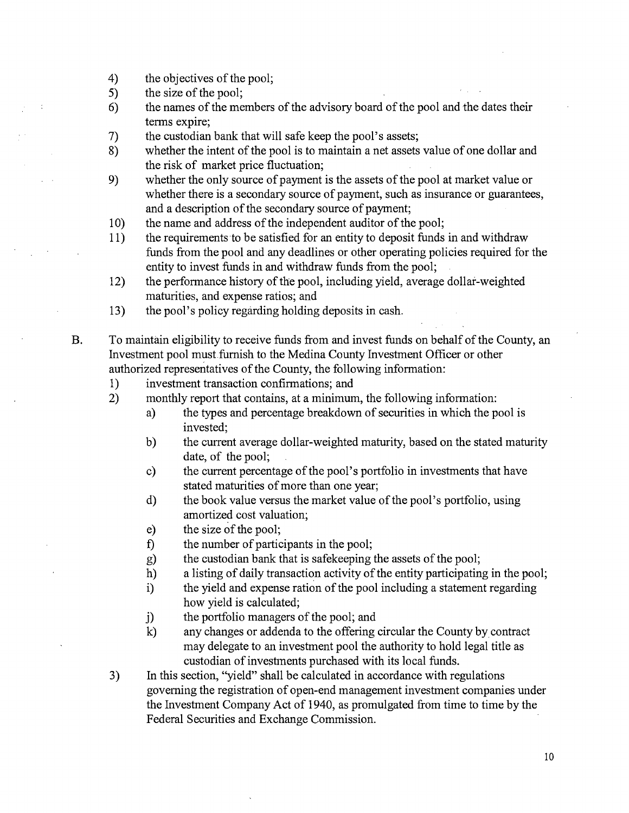- 4) the objectives of the pool;
- 5) the size of the pool;
- 6) the names of the members of the advisory board of the pool and the dates their terms expire;
- 7) the custodian bank that will safe keep the pool's assets;
- 8) whether the intent of the pool is to maintain a net assets value of one dollar and the risk of market price fluctuation;
- 9) whether the only source of payment is the assets of the pool at market value or whether there is a secondary source of payment, such as insurance or guarantees, and a description of the secondary source of payment;
- 10) the name and address of the independent auditor of the pool;
- 11) the requirements to be satisfied for an entity to deposit funds in and withdraw funds from the pool and any deadlines or other operating policies required for the entity to invest funds in and withdraw funds from the pool;
- 12) the performance history of the pool, including yield, average dollar-weighted maturities, and expense ratios; and
- 13) the pool's policy regarding holding deposits in cash.

B. To maintain eligibility to receive funds from and invest funds on behalf of the County, an Investment pool must furnish to the Medina County Investment Officer or other authorized representatives of the County, the following information:

1) investment transaction confirmations; and

- 2) monthly report that contains, at a minimum, the following information:
	- a) the types and percentage breakdown of securities in which the pool is invested;
	- b) the current average dollar-weighted maturity, based on the stated maturity date, of the pool;
	- c) the current percentage of the pool's portfolio in investments that have stated maturities of more than one year;
	- d) the book value versus the market value of the pool's portfolio, using amortized cost valuation;
	- e) the size of the pool;
	- f) the number of participants in the pool;
	- g) the custodian bank that is safekeeping the assets of the pool;
	- h) a listing of daily transaction activity of the entity participating in the pool;
	- i) the yield and expense ration of the pool including a statement regarding how yield is calculated;
	- j) the portfolio managers of the pool; and
	- k) any changes or addenda to the offering circular the County by contract may delegate to an investment pool the authority to hold legal title as custodian of investments purchased with its local funds.
- 3) In this section, "yield" shall be calculated in accordance with regulations governing the registration of open-end management investment companies under the Investment Company Act of 1940, as promulgated from time to time by the Federal Securities and Exchange Commission.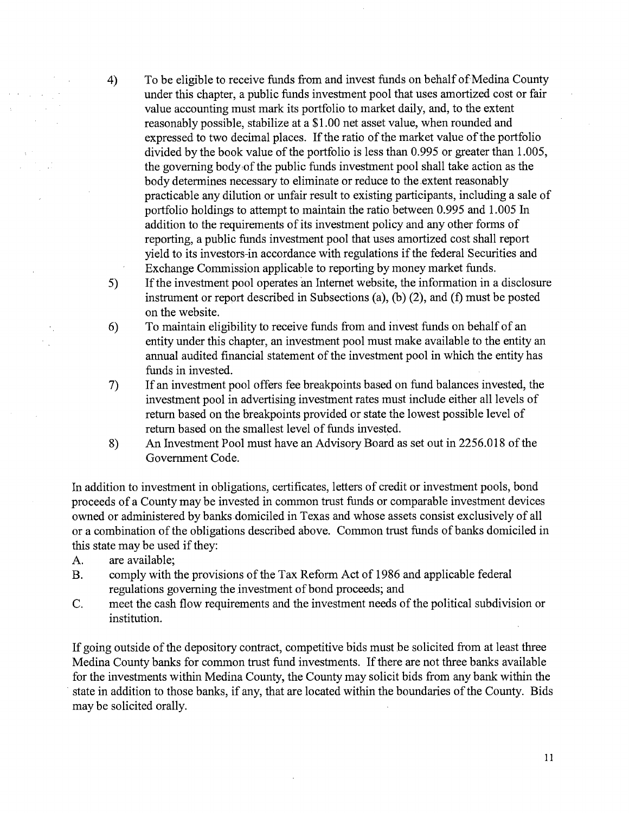4) To be eligible to receive funds from and invest funds on behalf of Medina County under this chapter, a public funds investment pool that uses amortized cost or fair value accounting must mark its portfolio to market daily, and, to the extent reasonably possible, stabilize at a \$1.00 net asset value, when rounded and expressed to two decimal places. If the ratio of the market value of the portfolio divided by the book value of the portfolio is less than 0.995 or greater than 1.005, the governing body of the public funds investment pool shall take action as the body determines necessary to eliminate or reduce to the extent reasonably practicable any dilution or unfair result to existing participants, including a sale of portfolio holdings to attempt to maintain the ratio between 0.995 and 1.005 In addition to the requirements of its investment policy and any other forms of reporting, a public funds investment pool that uses amortized cost shall report yield to its investors-in accordance with regulations if the federal Securities and Exchange Commission applicable to reporting by money market funds.

- 5) If the investment pool operates an Internet website, the information in a disclosure instrument or report described in Subsections (a), (b) (2), and (f) must be posted on the website.
- 6) To maintain eligibility to receive funds from and invest funds on behalf of an entity under this chapter, an investment pool must make available to the entity an annual audited financial statement of the investment pool in which the entity has funds in invested.
- 7) If an investment pool offers fee breakpoints based on fund balances invested, the investment pool in advertising investment rates must include either all levels of return based on the breakpoints provided or state the lowest possible level of return based on the smallest level of funds invested.
- 8) An Investment Pool must have an Advisory Board as set out in 2256.018 of the Government Code.

In addition to investment in obligations, certificates, letters of credit or investment pools, bond proceeds of a County may be invested in common trust funds or comparable investment devices owned or administered by banks domiciled in Texas and whose assets consist exclusively of all or a combination of the obligations described above. Common trust funds of banks domiciled in this state may be used if they:

A. are available;

- B. comply with the provisions of the Tax Reform Act of 1986 and applicable federal regulations governing the investment of bond proceeds; and
- C. meet the cash flow requirements and the investment needs of the political subdivision or institution.

If going outside of the depository contract, competitive bids must be solicited from at least three Medina County banks for common trust fund investments. If there are not three banks available for the investments within Medina County, the County may solicit bids from any bank within the state in addition to those banks, if any, that are located within the boundaries of the County. Bids may be solicited orally.

11

 $\mathcal{A}=\{1,2,3,4\}$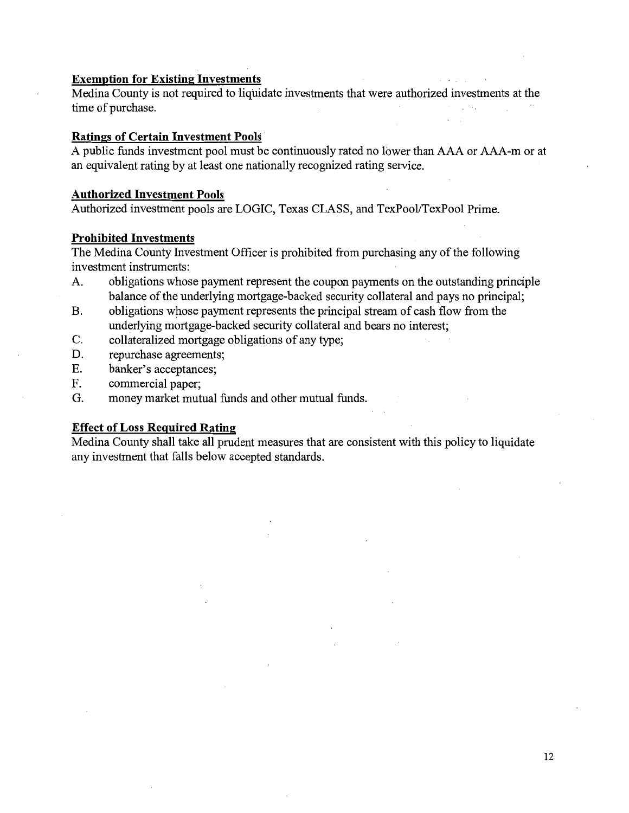#### **Exemption for Existing Investments**

Medina County is not required to liquidate investments that were authorized investments at the time of purchase.

#### **Ratings of Certain Investment Pools** ·

A public funds investment pool must be continuously rated no lower than AAA or AAA-m or at an equivalent rating by at least one nationally recognized rating service.

#### **Authorized Investment Pools**

Authorized investment pools are LOGIC, Texas CLASS, and TexPool/TexPool Prime.

#### **Prohibited Investments**

The Medina County Investment Officer is prohibited from purchasing any of the following investment instruments:

- A. obligations whose payment represent the coupon payments on the outstanding principle balance of the underlying mortgage-backed security collateral and pays no principal;
- B. obligations whose payment represents the principal stream of cash flow from the underlying mortgage-backed security collateral and bears no interest;
- C. collateralized mortgage obligations of any type;
- D. repurchase agreements;
- E. banker's acceptances;
- F. commercial paper;
- G. money market mutual funds and other mutual funds.

#### **Effect of Loss Required Rating**

Medina County shall take all prudent measures that are consistent with this policy to liquidate any investment that falls below accepted standards.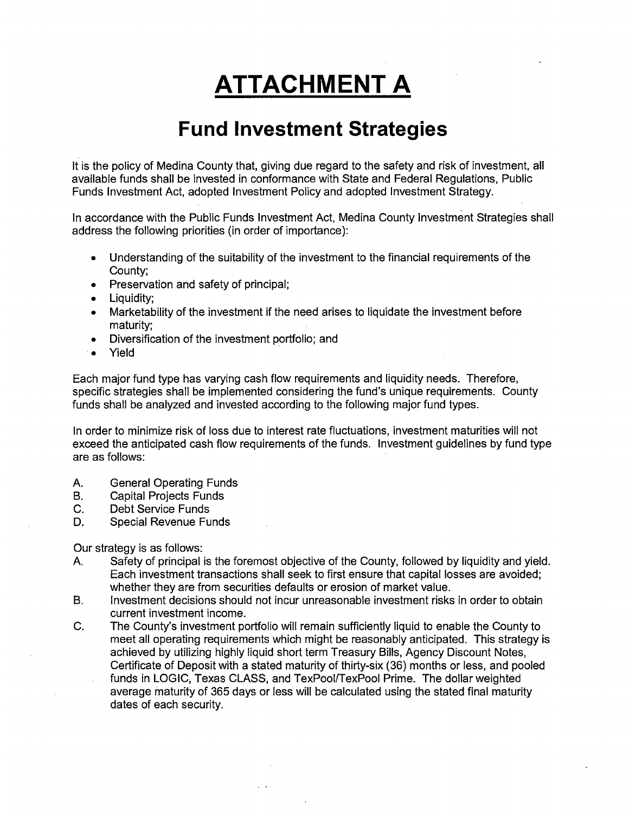# **ATTACHMENT A**

# **Fund Investment Strategies**

It is the policy of Medina County that, giving due regard to the safety and risk of investment, all available funds shall be invested in conformance with State and Federal Regulations, Public Funds Investment Act, adopted Investment Policy and adopted Investment Strategy.

In accordance with the Public Funds Investment Act, Medina County Investment Strategies shall address the following priorities (in order of importance):

- Understanding of the suitability of the investment to the financial requirements of the County;
- Preservation and safety of principal;
- Liquidity;
- Marketability of the investment if the need arises to liquidate the investment before maturity;
- Diversification of the investment portfolio; and
- · Yield

Each major fund type has varying cash flow requirements and liquidity needs. Therefore, specific strategies shall be implemented considering the fund's unique requirements. County funds shall be analyzed and invested according to the following major fund types.

In order to minimize risk of loss due to interest rate fluctuations, investment maturities will not exceed the anticipated cash flow requirements of the funds. Investment guidelines by fund type are as follows:

- A. General Operating Funds
- B. Capital Projects Funds
- C. Debt Service Funds
- D. Special Revenue Funds

Our strategy is as follows:

- A. Safety of principal is the foremost objective of the County, followed by liquidity and yield. Each investment transactions shall seek to first ensure that capital losses are avoided; whether they are from securities defaults or erosion of market value.
- B. Investment decisions should not incur unreasonable investment risks in order to obtain current investment income.
- C. The County's investment portfolio will remain sufficiently liquid to enable the County to meet all operating requirements which might be reasonably anticipated. This strategy is achieved by utilizing highly liquid short term Treasury Bills, Agency Discount Notes, Certificate of Deposit with a stated maturity of thirty-six (36) months or less, and pooled funds in LOGIC, Texas CLASS, and TexPool/TexPool Prime. The dollar weighted average maturity of 365 days or less will be calculated using the stated final maturity dates of each security.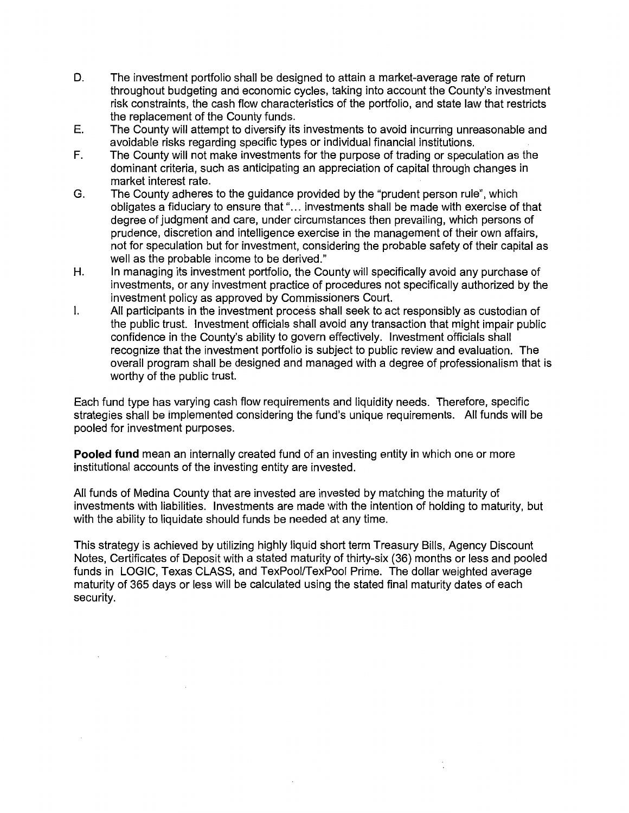- D. The investment portfolio shall be designed to attain a market-average rate of return throughout budgeting and economic cycles, taking into account the County's investment risk constraints, the cash flow characteristics of the portfolio, and state law that restricts the replacement of the County funds.
- E. The County will attempt to diversify its investments to avoid incurring unreasonable and avoidable risks regarding specific types or individual financial institutions.
- F. The County will not make investments for the purpose of trading or speculation as the dominant criteria, such as anticipating an appreciation of capital through changes in market interest rate.
- G. The County adheres to the guidance provided by the "prudent person rule", which obligates a fiduciary to ensure that "... investments shall be made with exercise of that degree of judgment and care, under circumstances then prevailing, which persons of prudence, discretion and intelligence exercise in the management of their own affairs, not for speculation but for investment, considering the probable safety of their capital as well as the probable income to be derived."
- H. In managing its investment portfolio, the County will specifically avoid any purchase of investments, or any investment practice of procedures not specifically authorized by the investment policy as approved by Commissioners Court.
- I. All participants in the investment process shall seek to act responsibly as custodian of the public trust. Investment officials shall avoid any transaction that might impair public confidence in the County's ability to govern effectively. Investment officials shall recognize that the investment portfolio is subject to public review and evaluation. The overall program shall be designed and managed with a degree of professionalism that is worthy of the public trust.

Each fund type has varying cash flow requirements and liquidity needs. Therefore, specific strategies shall be implemented considering the fund's unique requirements. All funds will be pooled for investment purposes.

**Pooled fund** mean an internally created fund of an investing entity in which one or more institutional accounts of the investing entity are invested.

All funds of Medina County that are invested are invested by matching the maturity of investments with liabilities. Investments are made with the intention of holding to maturity, but with the ability to liquidate should funds be needed at any time.

This strategy is achieved by utilizing highly liquid short term Treasury Bills, Agency Discount Notes, Certificates of Deposit with a stated maturity of thirty-six (36) months or less and pooled funds in LOGIC, Texas CLASS, and TexPool/TexPool Prime. The dollar weighted average maturity of 365 days or less will be calculated using the stated final maturity dates of each security.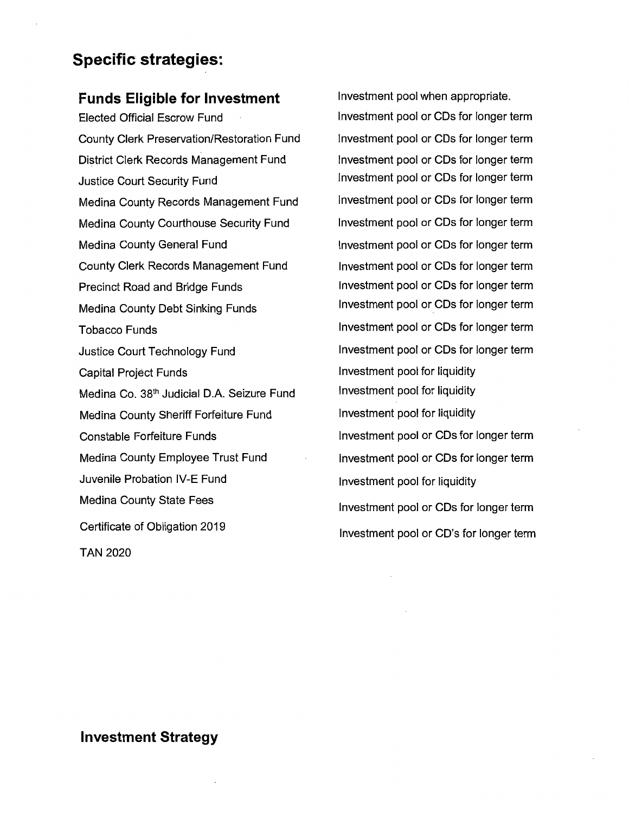# **Specific strategies:**

# **Funds Eligible for Investment**

Elected Official Escrow Fund County Clerk Preservation/Restoration Fund District Clerk Records Management Fund Justice Court Security Fund Medina County Records Management Fund Medina County Courthouse Security Fund Medina County General Fund County Clerk Records Management Fund Precinct Road and Bridge Funds Medina County Debt Sinking Funds Tobacco Funds Justice Court Technology Fund Capital Project Funds Medina Co. 38<sup>th</sup> Judicial D.A. Seizure Fund Medina County Sheriff Forfeiture Fund Constable Forfeiture Funds Medina County Employee Trust Fund Juvenile Probation IV-E Fund Medina County State Fees Certificate of Obligation 2019 TAN 2020

Investment pool when appropriate. Investment pool or CDs for longer term Investment pool or CDs for longer term Investment pool or CDs for longer term Investment pool or CDs for longer term Investment pool or CDs for longer term Investment pool or CDs for longer term Investment pool or CDs for longer term Investment pool or CDs for longer term Investment pool or CDs for longer term Investment pool or CDs for longer term Investment pool or CDs for longer term Investment pool or CDs for longer term Investment pool for liquidity Investment pool for liquidity Investment pool for liquidity Investment pool or CDs for longer term Investment pool or CDs for longer term Investment pool for liquidity Investment pool or CDs for longer term Investment pool or CD's for longer term

# **Investment Strategy**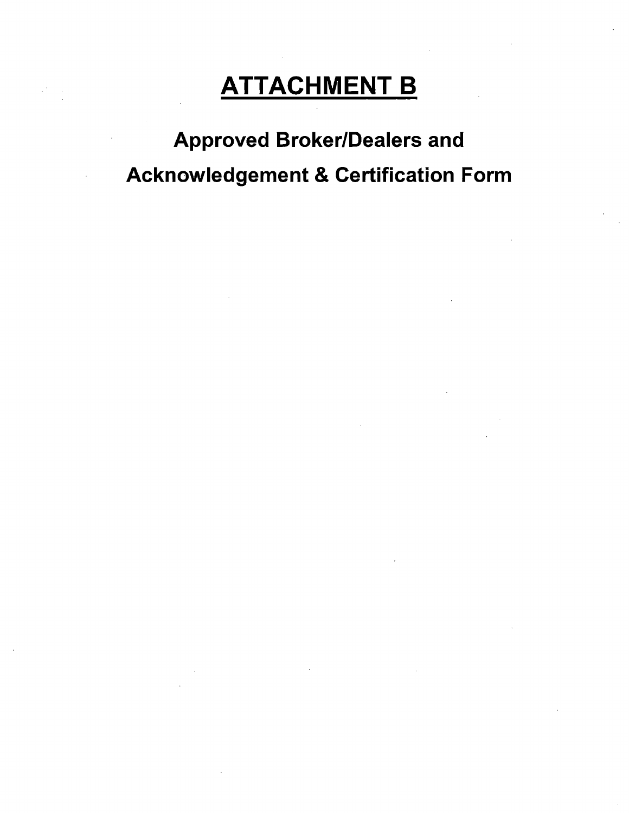# **ATTACHMENT B**

Approved Broker/Dealers and Acknowledgement & Certification Form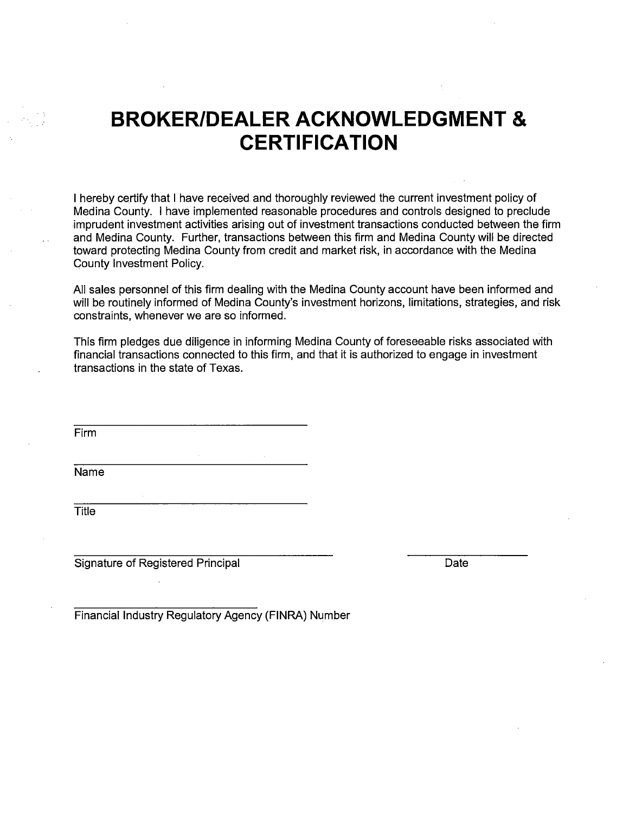# **BROKER/DEALER ACKNOWLEDGMENT** & **CERTIFICATION**

I hereby certify that I have received and thoroughly reviewed the current investment policy of Medina County. I have implemented reasonable procedures and controls designed to preclude imprudent investment activities arising out of investment transactions conducted between the firm and Medina County. Further, transactions between this firm and Medina County will be directed toward protecting Medina County from credit and market risk, in accordance with the Medina County Investment Policy.

All sales personnel of this firm dealing with the Medina County account have been informed and will be routinely informed of Medina County's investment horizons, limitations, strategies, and risk constraints, whenever we are so informed.

This firm pledges due diligence in informing Medina County of foreseeable risks associated with financial transactions connected to this firm, and that it is authorized to engage in investment transactions in the state of Texas.

Firm

Name

**Title** 

Signature of Registered Principal Date Date

Financial Industry Regulatory Agency (FINRA) Number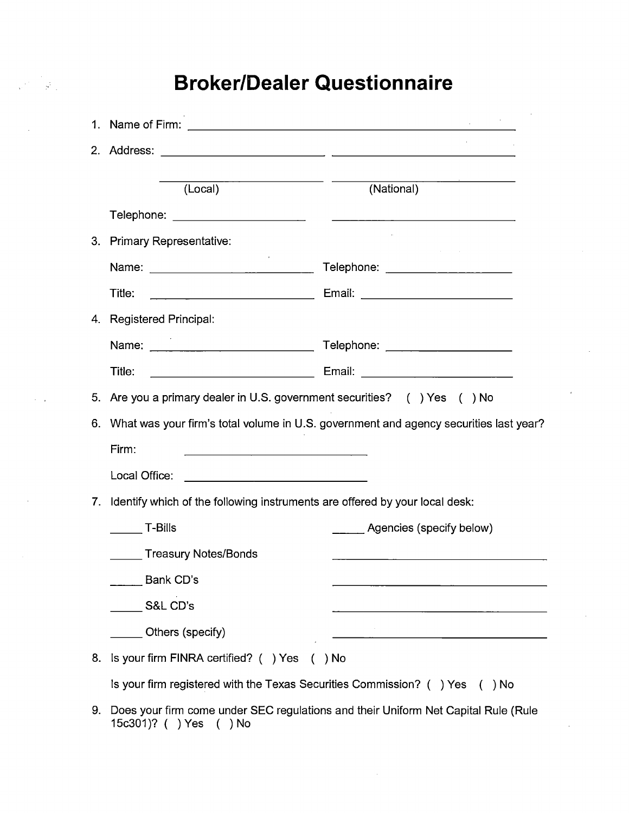# **Broker/Dealer Questionnaire**

|    | (Local)                                                                                 | (National)                                                  |  |  |  |
|----|-----------------------------------------------------------------------------------------|-------------------------------------------------------------|--|--|--|
|    |                                                                                         | <u> 1990 - Johann B</u> ern, Amerikaansk politiker († 1901) |  |  |  |
| 3. | <b>Primary Representative:</b>                                                          |                                                             |  |  |  |
|    |                                                                                         | Telephone: ___________________                              |  |  |  |
|    | Title:                                                                                  |                                                             |  |  |  |
|    | 4. Registered Principal:                                                                |                                                             |  |  |  |
|    |                                                                                         | Telephone: _____________________                            |  |  |  |
|    | Title:                                                                                  |                                                             |  |  |  |
| 5. | Are you a primary dealer in U.S. government securities? () Yes () No                    |                                                             |  |  |  |
| 6. | What was your firm's total volume in U.S. government and agency securities last year?   |                                                             |  |  |  |
|    | Firm:                                                                                   |                                                             |  |  |  |
|    | Local Office:<br><u> 1989 - Johann Barn, mars eta bainar eta politikaria (h. 1908).</u> |                                                             |  |  |  |
| 7. | Identify which of the following instruments are offered by your local desk:             |                                                             |  |  |  |
|    | <b>T-Bills</b>                                                                          | Agencies (specify below)                                    |  |  |  |
|    | Treasury Notes/Bonds                                                                    |                                                             |  |  |  |
|    | Bank CD's                                                                               |                                                             |  |  |  |
|    | $\_$ S&L CD's                                                                           |                                                             |  |  |  |
|    | Others (specify)                                                                        |                                                             |  |  |  |
| 8. | Is your firm FINRA certified? () Yes                                                    | $( )$ No                                                    |  |  |  |
|    | Is your firm registered with the Texas Securities Commission? () Yes () No              |                                                             |  |  |  |
| 9. | Does your firm come under SEC regulations and their Uniform Net Capital Rule (Rule      |                                                             |  |  |  |

15c301)? ( ) Yes ( ) No

 $\label{eq:2} \frac{1}{\sqrt{2\pi}}\sum_{i=1}^{N}\frac{1}{2\sqrt{2\pi}}\int_{-\infty}^{\infty}\frac{1}{2\sqrt{2\pi}}\left(\frac{1}{2\sqrt{2\pi}}\right)^{2}d\theta.$ 

 $\tau = \tau_{\rm eff}$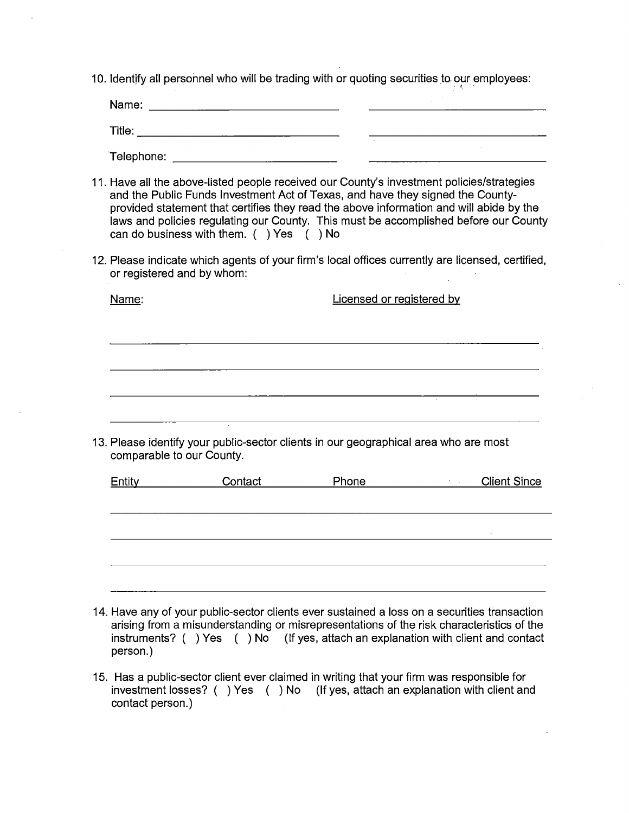10. Identify all personnel who will be trading with or quoting securities to our employees:

| Name:  |  |  |
|--------|--|--|
| Title: |  |  |
|        |  |  |

Telephone:

- 11. Have all the above-listed people received our County's investment policies/strategies and the Public Funds Investment Act of Texas, and have they signed the Countyprovided statement that certifies they read the above information and will abide by the laws and policies regulating our County. This must be accomplished before our County can do business with them. ( ) Yes ( ) No
- 12. Please indicate which agents of your firm's local offices currently are licensed, certified, or registered and by whom:

| Name:  |                                                                                                                   | Licensed or registered by |                                         |  |  |  |
|--------|-------------------------------------------------------------------------------------------------------------------|---------------------------|-----------------------------------------|--|--|--|
|        |                                                                                                                   |                           |                                         |  |  |  |
|        |                                                                                                                   |                           |                                         |  |  |  |
|        |                                                                                                                   |                           |                                         |  |  |  |
|        | $\sim$                                                                                                            |                           |                                         |  |  |  |
|        | 13. Please identify your public-sector clients in our geographical area who are most<br>comparable to our County. |                           |                                         |  |  |  |
| Entity | Contact                                                                                                           | Phone                     | <b>Client Since</b><br><b>All Cards</b> |  |  |  |
|        |                                                                                                                   |                           |                                         |  |  |  |
|        |                                                                                                                   |                           |                                         |  |  |  |
|        |                                                                                                                   |                           |                                         |  |  |  |

- 14. Have any of your public-sector clients ever sustained a loss on a securities transaction arising from a misunderstanding or misrepresentations of the risk characteristics of the instruments? ( ) Yes ( ) No (If yes, attach an explanation with client and contact person.)
- 15. Has a public-sector client ever claimed in writing that your firm was responsible for investment losses? ( ) Yes ( ) No (If yes, attach an explanation with client and contact person.)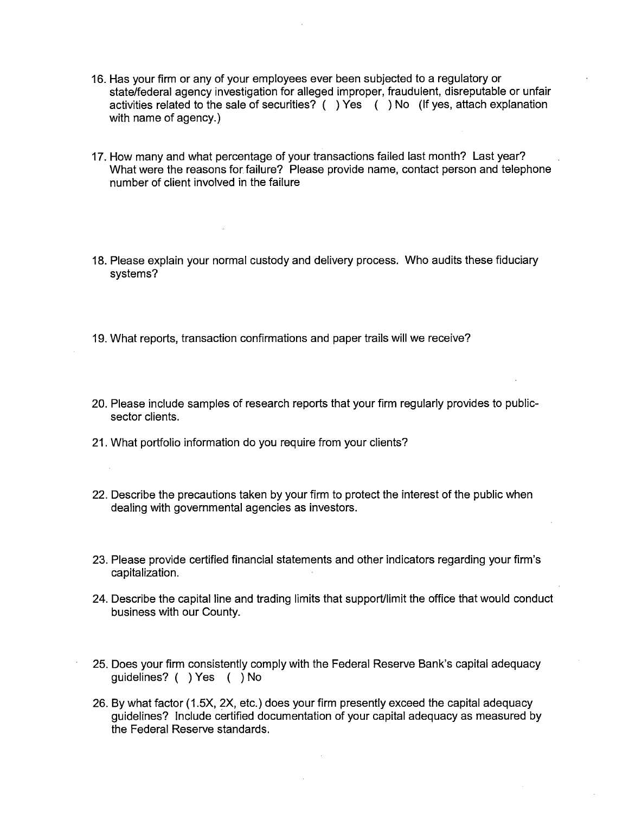- 16. Has your firm or any of your employees ever been subjected to a regulatory or state/federal agency investigation for alleged improper, fraudulent, disreputable or unfair activities related to the sale of securities? ( ) Yes ( ) No (If yes, attach explanation with name of agency.)
- 17. How many and what percentage of your transactions failed last month? Last year? What were the reasons for failure? Please provide name, contact person and telephone number of client involved in the failure
- 18. Please explain your normal custody and delivery process. Who audits these fiduciary systems?
- 19. What reports, transaction confirmations and paper trails will we receive?
- 20. Please include samples of research reports that your firm regularly provides to publicsector clients.
- 21. What portfolio information do you require from your clients?
- 22. Describe the precautions taken by your firm to protect the interest of the public when dealing with governmental agencies as investors.
- 23. Please provide certified financial statements and other indicators regarding your firm's capitalization.
- 24. Describe the capital line and trading limits that support/limit the office that would conduct business with our County.
- 25. Does your firm consistently comply with the Federal Reserve Bank's capital adequacy guidelines? ( ) Yes ( ) No
- 26. By what factor (1.5X, 2X, etc.) does your firm presently exceed the capital adequacy guidelines? Include certified documentation of your capital adequacy as measured by the Federal Reserve standards.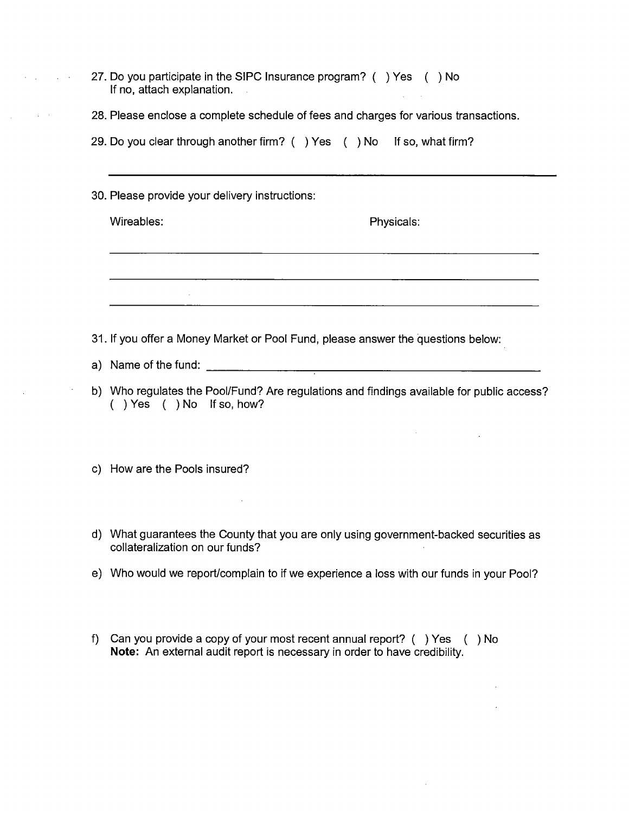- 27. Do you participate in the SIPC Insurance program? ( ) Yes ( ) No If no, attach explanation.
- 28. Please enclose a complete schedule of fees and charges for various transactions.
- 29. Do you clear through another firm? ( ) Yes ( ) No If so, what firm?
- 30. Please provide your delivery instructions:

Wireables: Physicals: Physicals:

 $\Delta \sim 10^{11}$  and  $\Delta \sim 10^{11}$ 

<u> 1988 - Johann Barbara, martxa eta idazlearia (h. 1988).</u>

- 31. If you offer a Money Market or Pool Fund, please answer the questions below:
- a) Name of the fund: \_\_\_\_\_\_\_\_\_\_\_\_\_\_\_\_\_\_\_\_\_\_ \_
- b) Who regulates the Pool/Fund? Are regulations and findings available for public access? ( ) Yes ( ) No If so, how?
- c) How are the Pools insured?
- d) What guarantees the County that you are only using government-backed securities as collateralization on our funds?
- e) Who would we report/complain to if we experience a loss with our funds in your Pool?
- f) Can you provide a copy of your most recent annual report? ( ) Yes ( ) No **Note:** An external audit report is necessary in order to have credibility.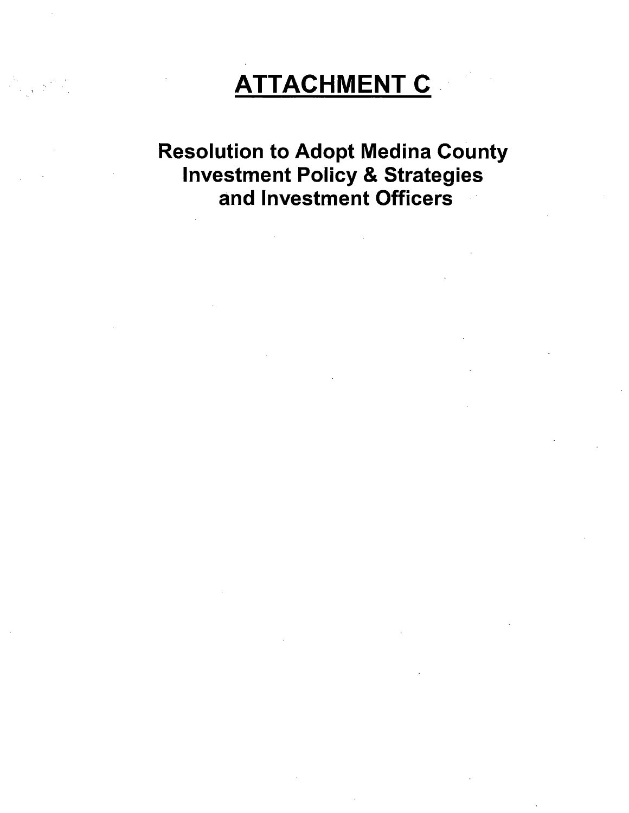# **ATTACHMENT C**

 $\sim 10^{10}$  km  $^{-2}$ 

Resolution to Adopt Medina County Investment Policy & Strategies and Investment Officers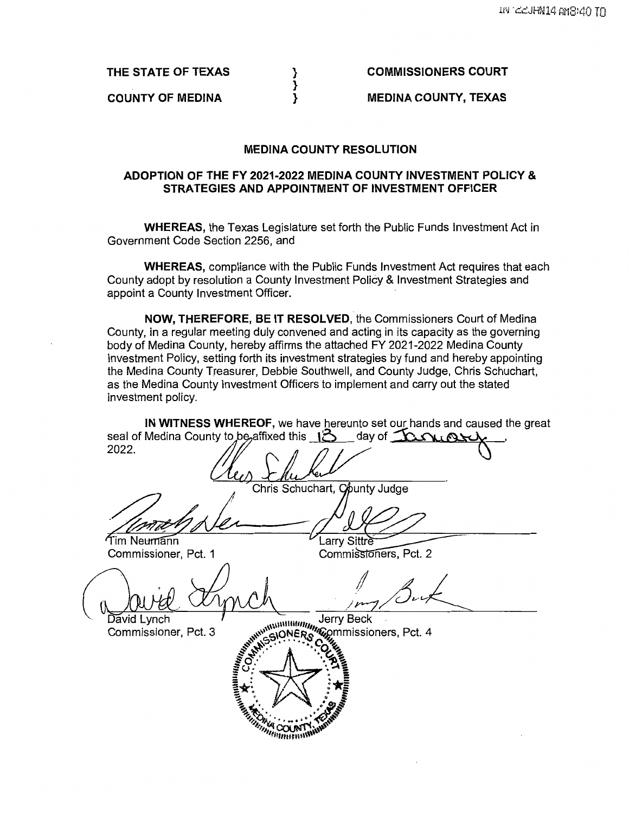**THE STATE OF TEXAS** 

**COUNTY OF MEDINA** 

**COMMISSIONERS COURT** 

**MEDINA COUNTY, TEXAS** 

#### **MEDINA COUNTY RESOLUTION**

} } }

#### **ADOPTION OF THE FY 2021-2022 MEDINA COUNTY INVESTMENT POLICY** & **STRATEGIES AND APPOINTMENT OF INVESTMENT OFFICER**

**WHEREAS,** the Texas Legislature set forth the Public Funds Investment Act in Government Code Section 2256, and

**WHEREAS,** compliance with the Public Funds Investment Act requires that each County adopt by resolution a County Investment Policy & Investment Strategies and appoint a County Investment Officer.

**NOW, THEREFORE, BE IT RESOLVED,** the Commissioners Court of Medina County, in a regular meeting duly convened and acting in its capacity as the governing body of Medina County, hereby affirms the attached FY 2021-2022 Medina County Investment Policy, setting forth its investment strategies by fund and hereby appointing the Medina County Treasurer, Debbie Southwell, and County Judge, Chris Schuchart, as the Medina County Investment Officers to implement and carry out the stated investment policy.

**IN WITNESS WHEREOF,** we have hereunto set our hands and caused the great IN WITNESS WHEREOF, we have hereunto set our hands and caused the<br>seal of Medina County to be affixed this  $\frac{13}{4}$  day of  $\frac{0.001}{1.001}$ 

Chris Schuchart, County Judge<br>
Chris Schuchart, County Judge<br>
Tim Neumann<br>
Commissioner, Pct. 1<br>
Commissioners, Pct. 2 Commissioner, Pct. 1 Commissioners, Pct. 2 Commissioner, Pct. 1<br>
Commissioner, Pct. 2<br>
Commissioner, Pct. 3<br>
Commissioner, Pct. 3<br>
Commissioner, Pct. 3  $\sqrt{\frac{1}{2}}$ ~~A.. • .";.:\_-:+.:.;;., ~~~ **..,~,,,-.'-,ul.J'N,.:•11,~ 11,,,,,,uuo1\\\\\l**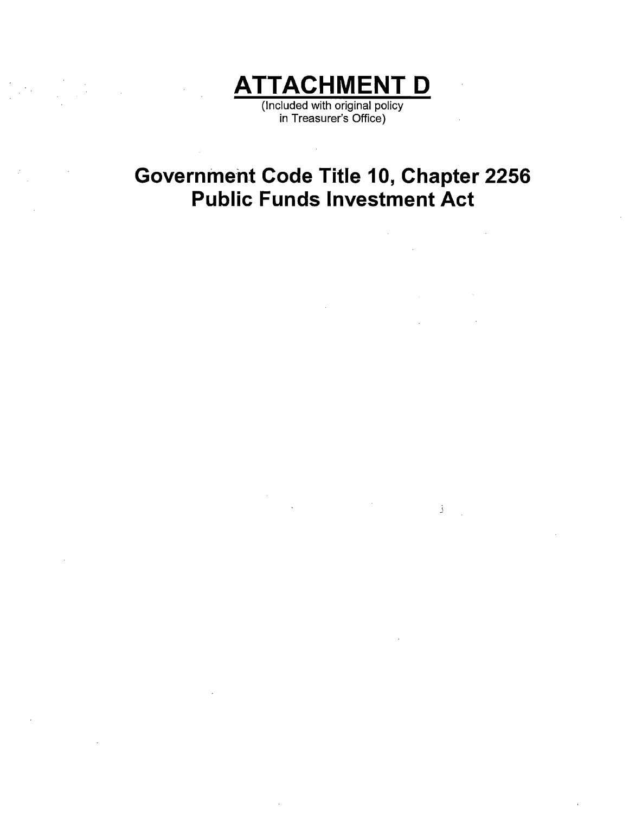

(Included with original policy in Treasurer's Office)

# **Government Code Title 10, Chapter 2256 Public Funds Investment Act**

 $\mathcal{A}^{\mathcal{A}}$ 

 $\mathcal{L}_{\text{max}}$  and  $\mathcal{L}_{\text{max}}$  $\mathcal{L}_{\text{max}}$  and  $\mathcal{L}_{\text{max}}$  $\sim 10^{-10}$ 

 $\sim$ J

 $\bar{t}$